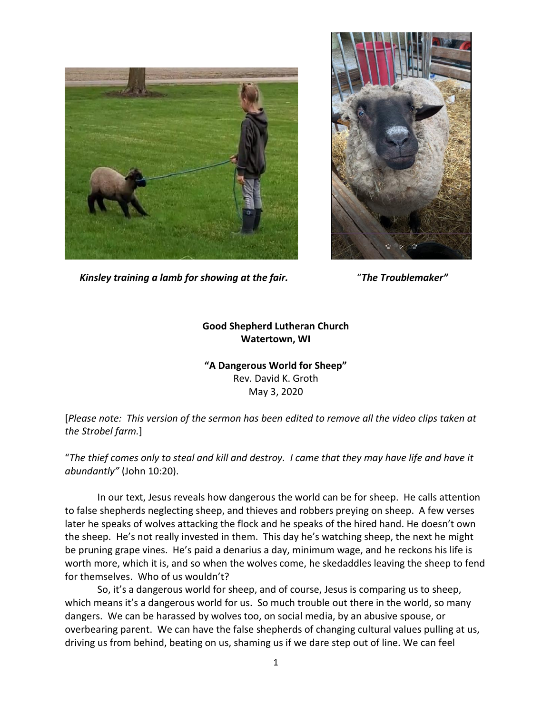



*Kinsley training a lamb for showing at the fair.* "*The Troublemaker"*

## **Good Shepherd Lutheran Church Watertown, WI**

## **"A Dangerous World for Sheep"** Rev. David K. Groth May 3, 2020

[*Please note: This version of the sermon has been edited to remove all the video clips taken at the Strobel farm.*]

"*The thief comes only to steal and kill and destroy. I came that they may have life and have it abundantly"* (John 10:20).

In our text, Jesus reveals how dangerous the world can be for sheep. He calls attention to false shepherds neglecting sheep, and thieves and robbers preying on sheep. A few verses later he speaks of wolves attacking the flock and he speaks of the hired hand. He doesn't own the sheep. He's not really invested in them. This day he's watching sheep, the next he might be pruning grape vines. He's paid a denarius a day, minimum wage, and he reckons his life is worth more, which it is, and so when the wolves come, he skedaddles leaving the sheep to fend for themselves. Who of us wouldn't?

So, it's a dangerous world for sheep, and of course, Jesus is comparing us to sheep, which means it's a dangerous world for us. So much trouble out there in the world, so many dangers. We can be harassed by wolves too, on social media, by an abusive spouse, or overbearing parent. We can have the false shepherds of changing cultural values pulling at us, driving us from behind, beating on us, shaming us if we dare step out of line. We can feel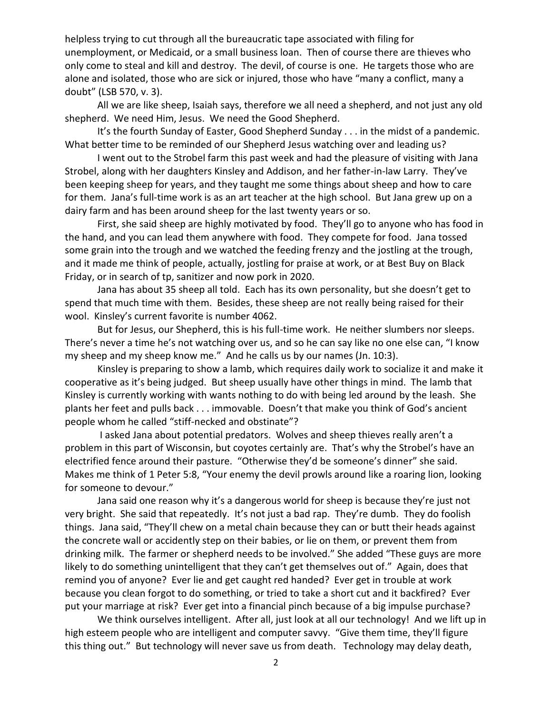helpless trying to cut through all the bureaucratic tape associated with filing for unemployment, or Medicaid, or a small business loan. Then of course there are thieves who only come to steal and kill and destroy. The devil, of course is one. He targets those who are alone and isolated, those who are sick or injured, those who have "many a conflict, many a doubt" (LSB 570, v. 3).

All we are like sheep, Isaiah says, therefore we all need a shepherd, and not just any old shepherd. We need Him, Jesus. We need the Good Shepherd.

It's the fourth Sunday of Easter, Good Shepherd Sunday . . . in the midst of a pandemic. What better time to be reminded of our Shepherd Jesus watching over and leading us?

I went out to the Strobel farm this past week and had the pleasure of visiting with Jana Strobel, along with her daughters Kinsley and Addison, and her father-in-law Larry. They've been keeping sheep for years, and they taught me some things about sheep and how to care for them. Jana's full-time work is as an art teacher at the high school. But Jana grew up on a dairy farm and has been around sheep for the last twenty years or so.

First, she said sheep are highly motivated by food. They'll go to anyone who has food in the hand, and you can lead them anywhere with food. They compete for food. Jana tossed some grain into the trough and we watched the feeding frenzy and the jostling at the trough, and it made me think of people, actually, jostling for praise at work, or at Best Buy on Black Friday, or in search of tp, sanitizer and now pork in 2020.

Jana has about 35 sheep all told. Each has its own personality, but she doesn't get to spend that much time with them. Besides, these sheep are not really being raised for their wool. Kinsley's current favorite is number 4062.

But for Jesus, our Shepherd, this is his full-time work. He neither slumbers nor sleeps. There's never a time he's not watching over us, and so he can say like no one else can, "I know my sheep and my sheep know me." And he calls us by our names (Jn. 10:3).

Kinsley is preparing to show a lamb, which requires daily work to socialize it and make it cooperative as it's being judged. But sheep usually have other things in mind. The lamb that Kinsley is currently working with wants nothing to do with being led around by the leash. She plants her feet and pulls back . . . immovable. Doesn't that make you think of God's ancient people whom he called "stiff-necked and obstinate"?

I asked Jana about potential predators. Wolves and sheep thieves really aren't a problem in this part of Wisconsin, but coyotes certainly are. That's why the Strobel's have an electrified fence around their pasture. "Otherwise they'd be someone's dinner" she said. Makes me think of 1 Peter 5:8, "Your enemy the devil prowls around like a roaring lion, looking for someone to devour."

Jana said one reason why it's a dangerous world for sheep is because they're just not very bright. She said that repeatedly. It's not just a bad rap. They're dumb. They do foolish things. Jana said, "They'll chew on a metal chain because they can or butt their heads against the concrete wall or accidently step on their babies, or lie on them, or prevent them from drinking milk. The farmer or shepherd needs to be involved." She added "These guys are more likely to do something unintelligent that they can't get themselves out of." Again, does that remind you of anyone? Ever lie and get caught red handed? Ever get in trouble at work because you clean forgot to do something, or tried to take a short cut and it backfired? Ever put your marriage at risk? Ever get into a financial pinch because of a big impulse purchase?

We think ourselves intelligent. After all, just look at all our technology! And we lift up in high esteem people who are intelligent and computer savvy. "Give them time, they'll figure this thing out." But technology will never save us from death. Technology may delay death,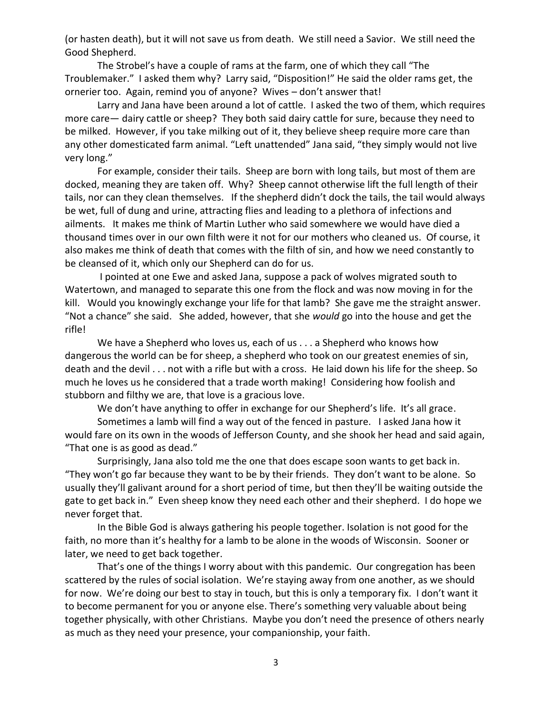(or hasten death), but it will not save us from death. We still need a Savior. We still need the Good Shepherd.

The Strobel's have a couple of rams at the farm, one of which they call "The Troublemaker." I asked them why? Larry said, "Disposition!" He said the older rams get, the ornerier too. Again, remind you of anyone? Wives – don't answer that!

Larry and Jana have been around a lot of cattle. I asked the two of them, which requires more care— dairy cattle or sheep? They both said dairy cattle for sure, because they need to be milked. However, if you take milking out of it, they believe sheep require more care than any other domesticated farm animal. "Left unattended" Jana said, "they simply would not live very long."

For example, consider their tails. Sheep are born with long tails, but most of them are docked, meaning they are taken off. Why? Sheep cannot otherwise lift the full length of their tails, nor can they clean themselves. If the shepherd didn't dock the tails, the tail would always be wet, full of dung and urine, attracting flies and leading to a plethora of infections and ailments. It makes me think of Martin Luther who said somewhere we would have died a thousand times over in our own filth were it not for our mothers who cleaned us. Of course, it also makes me think of death that comes with the filth of sin, and how we need constantly to be cleansed of it, which only our Shepherd can do for us.

I pointed at one Ewe and asked Jana, suppose a pack of wolves migrated south to Watertown, and managed to separate this one from the flock and was now moving in for the kill. Would you knowingly exchange your life for that lamb? She gave me the straight answer. "Not a chance" she said. She added, however, that she *would* go into the house and get the rifle!

We have a Shepherd who loves us, each of us . . . a Shepherd who knows how dangerous the world can be for sheep, a shepherd who took on our greatest enemies of sin, death and the devil . . . not with a rifle but with a cross. He laid down his life for the sheep. So much he loves us he considered that a trade worth making! Considering how foolish and stubborn and filthy we are, that love is a gracious love.

We don't have anything to offer in exchange for our Shepherd's life. It's all grace.

Sometimes a lamb will find a way out of the fenced in pasture. I asked Jana how it would fare on its own in the woods of Jefferson County, and she shook her head and said again, "That one is as good as dead."

Surprisingly, Jana also told me the one that does escape soon wants to get back in. "They won't go far because they want to be by their friends. They don't want to be alone. So usually they'll galivant around for a short period of time, but then they'll be waiting outside the gate to get back in." Even sheep know they need each other and their shepherd. I do hope we never forget that.

In the Bible God is always gathering his people together. Isolation is not good for the faith, no more than it's healthy for a lamb to be alone in the woods of Wisconsin. Sooner or later, we need to get back together.

That's one of the things I worry about with this pandemic. Our congregation has been scattered by the rules of social isolation. We're staying away from one another, as we should for now. We're doing our best to stay in touch, but this is only a temporary fix. I don't want it to become permanent for you or anyone else. There's something very valuable about being together physically, with other Christians. Maybe you don't need the presence of others nearly as much as they need your presence, your companionship, your faith.